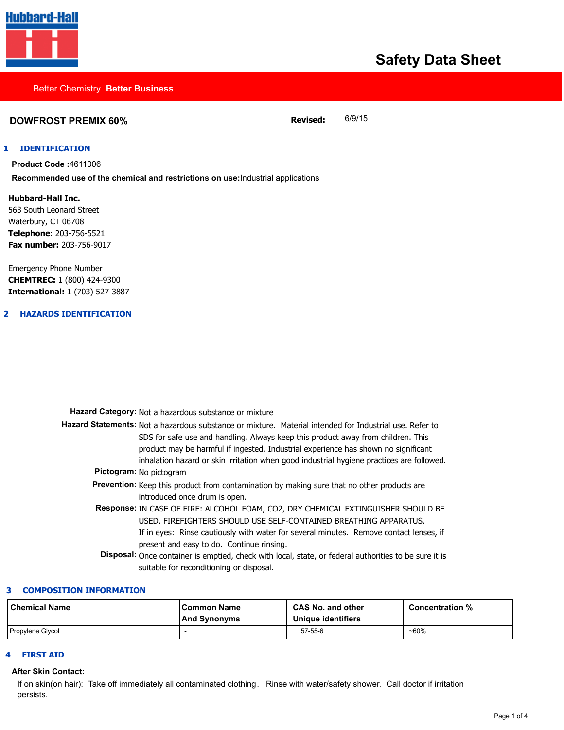

# **Safety Data Sheet**

#### Better Chemistry. **Better Business**

# **DOWFROST PREMIX 60% Revised:** 6/9/15

#### **1 IDENTIFICATION**

**Product Code :**4611006 **Recommended use of the chemical and restrictions on use:**Industrial applications

**Hubbard-Hall Inc.** 563 South Leonard Street Waterbury, CT 06708 **Telephone**: 203-756-5521 **Fax number:** 203-756-9017

Emergency Phone Number **CHEMTREC:** 1 (800) 424-9300 **International:** 1 (703) 527-3887

#### **2 HAZARDS IDENTIFICATION**

| Hazard Category: Not a hazardous substance or mixture                                                                                                                                                                                                                                                                                                                          |
|--------------------------------------------------------------------------------------------------------------------------------------------------------------------------------------------------------------------------------------------------------------------------------------------------------------------------------------------------------------------------------|
| Hazard Statements: Not a hazardous substance or mixture. Material intended for Industrial use. Refer to<br>SDS for safe use and handling. Always keep this product away from children. This<br>product may be harmful if ingested. Industrial experience has shown no significant<br>inhalation hazard or skin irritation when good industrial hygiene practices are followed. |
| Pictogram: No pictogram                                                                                                                                                                                                                                                                                                                                                        |
| <b>Prevention:</b> Keep this product from contamination by making sure that no other products are<br>introduced once drum is open.                                                                                                                                                                                                                                             |
| Response: IN CASE OF FIRE: ALCOHOL FOAM, CO2, DRY CHEMICAL EXTINGUISHER SHOULD BE<br>USED. FIREFIGHTERS SHOULD USE SELF-CONTAINED BREATHING APPARATUS.<br>If in eyes: Rinse cautiously with water for several minutes. Remove contact lenses, if<br>present and easy to do. Continue rinsing.                                                                                  |
| Disposal: Once container is emptied, check with local, state, or federal authorities to be sure it is<br>suitable for reconditioning or disposal.                                                                                                                                                                                                                              |

#### **3 COMPOSITION INFORMATION**

| l Chemical Name  | l Common Name<br> And Synonyms | <b>CAS No. and other</b><br>Unique identifiers | <b>Concentration %</b> |
|------------------|--------------------------------|------------------------------------------------|------------------------|
| Propylene Glycol |                                | $57 - 55 - 6$                                  | ~60%                   |

#### **4 FIRST AID**

#### **After Skin Contact:**

If on skin(on hair): Take off immediately all contaminated clothing. Rinse with water/safety shower. Call doctor if irritation persists.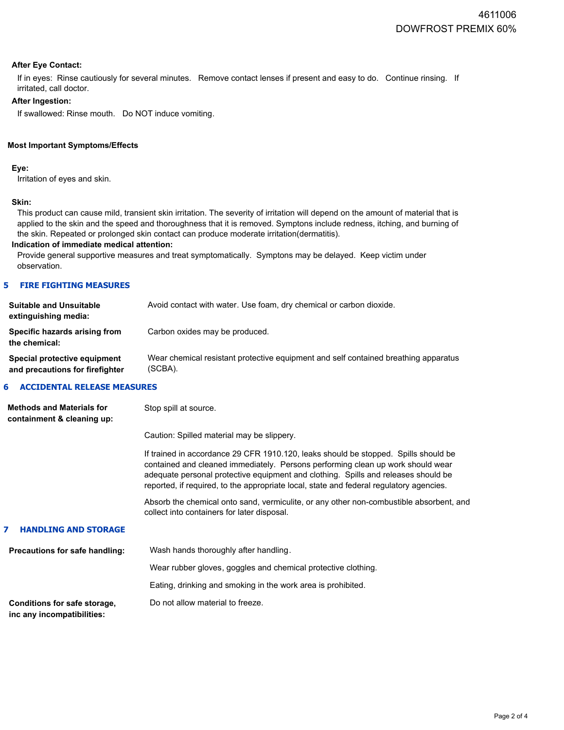#### **After Eye Contact:**

If in eyes: Rinse cautiously for several minutes. Remove contact lenses if present and easy to do. Continue rinsing. If irritated, call doctor.

### **After Ingestion:**

If swallowed: Rinse mouth. Do NOT induce vomiting.

#### **Most Important Symptoms/Effects**

**Eye:**

Irritation of eyes and skin.

#### **Skin:**

This product can cause mild, transient skin irritation. The severity of irritation will depend on the amount of material that is applied to the skin and the speed and thoroughness that it is removed. Symptons include redness, itching, and burning of the skin. Repeated or prolonged skin contact can produce moderate irritation(dermatitis).

#### **Indication of immediate medical attention:**

Provide general supportive measures and treat symptomatically. Symptons may be delayed. Keep victim under observation.

#### **5 FIRE FIGHTING MEASURES**

| <b>Suitable and Unsuitable</b><br>extinguishing media:          | Avoid contact with water. Use foam, dry chemical or carbon dioxide.                            |
|-----------------------------------------------------------------|------------------------------------------------------------------------------------------------|
| Specific hazards arising from<br>the chemical:                  | Carbon oxides may be produced.                                                                 |
| Special protective equipment<br>and precautions for firefighter | Wear chemical resistant protective equipment and self contained breathing apparatus<br>(SCBA). |

#### **6 ACCIDENTAL RELEASE MEASURES**

| <b>Methods and Materials for</b><br>containment & cleaning up: | Stop spill at source.                                                                                                                                                                                                                                                                                                                                   |
|----------------------------------------------------------------|---------------------------------------------------------------------------------------------------------------------------------------------------------------------------------------------------------------------------------------------------------------------------------------------------------------------------------------------------------|
|                                                                | Caution: Spilled material may be slippery.                                                                                                                                                                                                                                                                                                              |
|                                                                | If trained in accordance 29 CFR 1910.120, leaks should be stopped. Spills should be<br>contained and cleaned immediately. Persons performing clean up work should wear<br>adequate personal protective equipment and clothing. Spills and releases should be<br>reported, if required, to the appropriate local, state and federal regulatory agencies. |
|                                                                | Absorb the chemical onto sand, vermiculite, or any other non-combustible absorbent, and<br>collect into containers for later disposal.                                                                                                                                                                                                                  |
| 7<br><b>HANDLING AND STORAGE</b>                               |                                                                                                                                                                                                                                                                                                                                                         |
| Precautions for safe handling:                                 | Wash hands thoroughly after handling.                                                                                                                                                                                                                                                                                                                   |
|                                                                | Wear rubber gloves, goggles and chemical protective clothing.                                                                                                                                                                                                                                                                                           |
|                                                                | Eating, drinking and smoking in the work area is prohibited.                                                                                                                                                                                                                                                                                            |
| Conditions for safe storage,                                   | Do not allow material to freeze.                                                                                                                                                                                                                                                                                                                        |

**inc any incompatibilities:**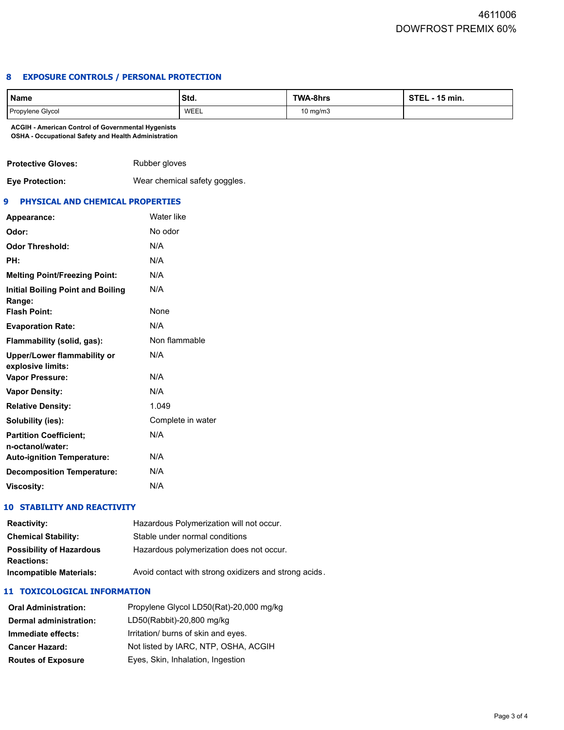# **8 EXPOSURE CONTROLS / PERSONAL PROTECTION**

| Name             | IStd. | <b>TWA-8hrs</b> | <b>STEL - 15 min.</b> |
|------------------|-------|-----------------|-----------------------|
| Propylene Glycol | WEEL  | 10 mg/m3        |                       |

**ACGIH - American Control of Governmental Hygenists OSHA - Occupational Safety and Health Administration**

| <b>Protective Gloves:</b> | Rubber gloves              |
|---------------------------|----------------------------|
| Eve Drotoction:           | Wear chemical eafety goodl |

**Eye Protection:** Wear chemical safety goggles.

#### **9 PHYSICAL AND CHEMICAL PROPERTIES**

| Appearance:                                             | Water like        |
|---------------------------------------------------------|-------------------|
| Odor:                                                   | No odor           |
| <b>Odor Threshold:</b>                                  | N/A               |
| PH:                                                     | N/A               |
| <b>Melting Point/Freezing Point:</b>                    | N/A               |
| Initial Boiling Point and Boiling<br>Range:             | N/A               |
| <b>Flash Point:</b>                                     | None              |
| <b>Evaporation Rate:</b>                                | N/A               |
| Flammability (solid, gas):                              | Non flammable     |
| <b>Upper/Lower flammability or</b><br>explosive limits: | N/A               |
| <b>Vapor Pressure:</b>                                  | N/A               |
| <b>Vapor Density:</b>                                   | N/A               |
| <b>Relative Density:</b>                                | 1.049             |
| Solubility (ies):                                       | Complete in water |
| <b>Partition Coefficient:</b>                           | N/A               |
| n-octanol/water:<br><b>Auto-ignition Temperature:</b>   | N/A               |
| <b>Decomposition Temperature:</b>                       | N/A               |
| <b>Viscosity:</b>                                       | N/A               |

# **10 STABILITY AND REACTIVITY**

| <b>Reactivity:</b>              | Hazardous Polymerization will not occur.              |  |
|---------------------------------|-------------------------------------------------------|--|
| <b>Chemical Stability:</b>      | Stable under normal conditions                        |  |
| <b>Possibility of Hazardous</b> | Hazardous polymerization does not occur.              |  |
| <b>Reactions:</b>               |                                                       |  |
| <b>Incompatible Materials:</b>  | Avoid contact with strong oxidizers and strong acids. |  |

#### **11 TOXICOLOGICAL INFORMATION**

| <b>Oral Administration:</b> | Propylene Glycol LD50(Rat)-20,000 mg/kg |
|-----------------------------|-----------------------------------------|
| Dermal administration:      | LD50(Rabbit)-20,800 mg/kg               |
| Immediate effects:          | Irritation/ burns of skin and eyes.     |
| <b>Cancer Hazard:</b>       | Not listed by IARC, NTP, OSHA, ACGIH    |
| <b>Routes of Exposure</b>   | Eyes, Skin, Inhalation, Ingestion       |